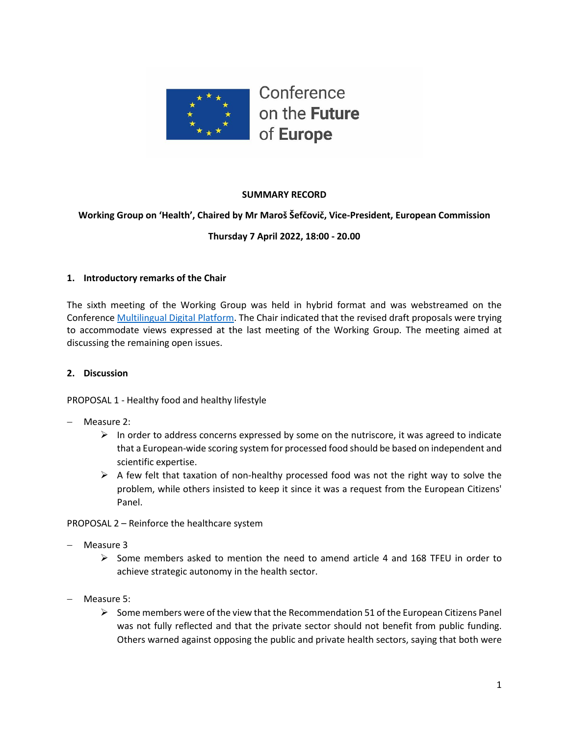

## **SUMMARY RECORD**

## **Working Group on 'Health', Chaired by Mr Maroš Šefčovič, Vice-President, European Commission**

## **Thursday 7 April 2022, 18:00 - 20.00**

#### **1. Introductory remarks of the Chair**

The sixth meeting of the Working Group was held in hybrid format and was webstreamed on the Conference [Multilingual Digital Platform.](https://multimedia.europarl.europa.eu/webstreaming/conference-on-future-of-europe-workgroup-on-health_20220121-1400-SPECIAL-OTHER-2) The Chair indicated that the revised draft proposals were trying to accommodate views expressed at the last meeting of the Working Group. The meeting aimed at discussing the remaining open issues.

#### **2. Discussion**

PROPOSAL 1 - Healthy food and healthy lifestyle

- − Measure 2:
	- $\triangleright$  In order to address concerns expressed by some on the nutriscore, it was agreed to indicate that a European-wide scoring system for processed food should be based on independent and scientific expertise.
	- $\triangleright$  A few felt that taxation of non-healthy processed food was not the right way to solve the problem, while others insisted to keep it since it was a request from the European Citizens' Panel.

PROPOSAL 2 – Reinforce the healthcare system

- − Measure 3
	- ➢ Some members asked to mention the need to amend article 4 and 168 TFEU in order to achieve strategic autonomy in the health sector.
- − Measure 5:
	- $\triangleright$  Some members were of the view that the Recommendation 51 of the European Citizens Panel was not fully reflected and that the private sector should not benefit from public funding. Others warned against opposing the public and private health sectors, saying that both were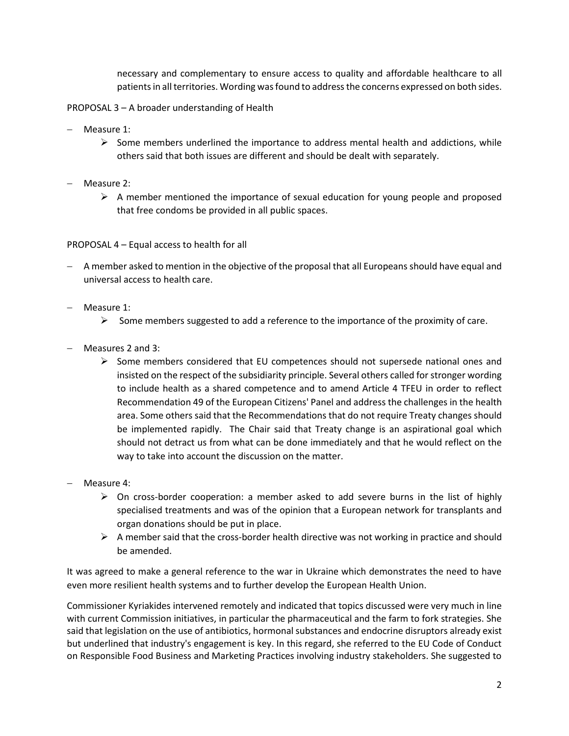necessary and complementary to ensure access to quality and affordable healthcare to all patients in all territories. Wording was found to address the concerns expressed on both sides.

PROPOSAL 3 – A broader understanding of Health

- − Measure 1:
	- $\triangleright$  Some members underlined the importance to address mental health and addictions, while others said that both issues are different and should be dealt with separately.
- − Measure 2:
	- $\triangleright$  A member mentioned the importance of sexual education for young people and proposed that free condoms be provided in all public spaces.

PROPOSAL 4 – Equal access to health for all

- − A member asked to mention in the objective of the proposal that all Europeans should have equal and universal access to health care.
- − Measure 1:
	- $\triangleright$  Some members suggested to add a reference to the importance of the proximity of care.
- − Measures 2 and 3:
	- $\triangleright$  Some members considered that EU competences should not supersede national ones and insisted on the respect of the subsidiarity principle. Several others called for stronger wording to include health as a shared competence and to amend Article 4 TFEU in order to reflect Recommendation 49 of the European Citizens' Panel and address the challenges in the health area. Some others said that the Recommendations that do not require Treaty changes should be implemented rapidly. The Chair said that Treaty change is an aspirational goal which should not detract us from what can be done immediately and that he would reflect on the way to take into account the discussion on the matter.
- − Measure 4:
	- $\triangleright$  On cross-border cooperation: a member asked to add severe burns in the list of highly specialised treatments and was of the opinion that a European network for transplants and organ donations should be put in place.
	- $\triangleright$  A member said that the cross-border health directive was not working in practice and should be amended.

It was agreed to make a general reference to the war in Ukraine which demonstrates the need to have even more resilient health systems and to further develop the European Health Union.

Commissioner Kyriakides intervened remotely and indicated that topics discussed were very much in line with current Commission initiatives, in particular the pharmaceutical and the farm to fork strategies. She said that legislation on the use of antibiotics, hormonal substances and endocrine disruptors already exist but underlined that industry's engagement is key. In this regard, she referred to the EU Code of Conduct on Responsible Food Business and Marketing Practices involving industry stakeholders. She suggested to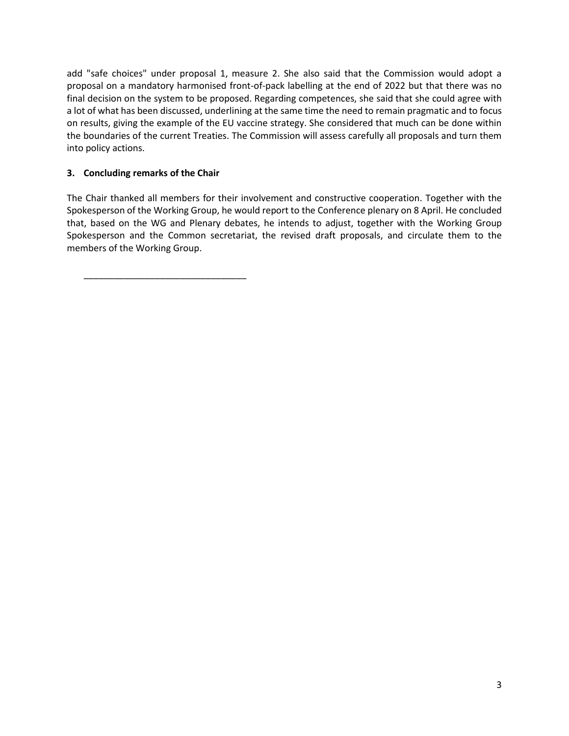add "safe choices" under proposal 1, measure 2. She also said that the Commission would adopt a proposal on a mandatory harmonised front-of-pack labelling at the end of 2022 but that there was no final decision on the system to be proposed. Regarding competences, she said that she could agree with a lot of what has been discussed, underlining at the same time the need to remain pragmatic and to focus on results, giving the example of the EU vaccine strategy. She considered that much can be done within the boundaries of the current Treaties. The Commission will assess carefully all proposals and turn them into policy actions.

## **3. Concluding remarks of the Chair**

\_\_\_\_\_\_\_\_\_\_\_\_\_\_\_\_\_\_\_\_\_\_\_\_\_\_\_\_\_\_\_\_

The Chair thanked all members for their involvement and constructive cooperation. Together with the Spokesperson of the Working Group, he would report to the Conference plenary on 8 April. He concluded that, based on the WG and Plenary debates, he intends to adjust, together with the Working Group Spokesperson and the Common secretariat, the revised draft proposals, and circulate them to the members of the Working Group.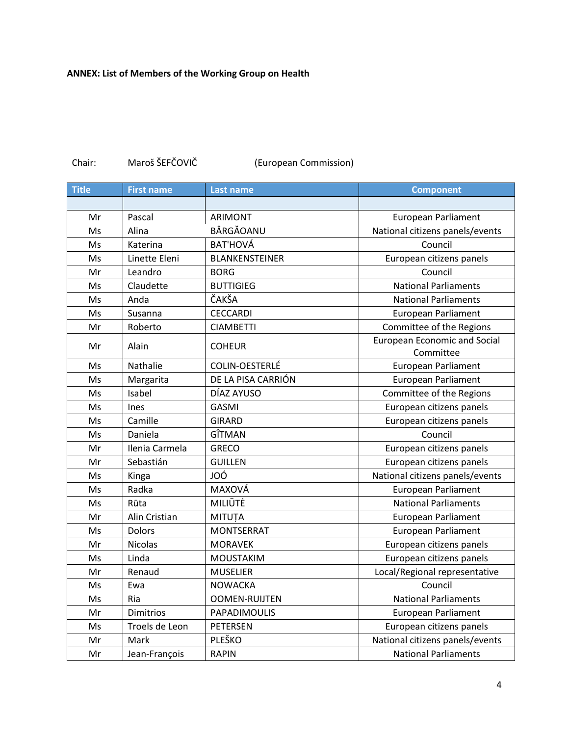## **ANNEX: List of Members of the Working Group on Health**

| <b>Title</b> | <b>First name</b> | <b>Last name</b>      | <b>Component</b>                                 |
|--------------|-------------------|-----------------------|--------------------------------------------------|
|              |                   |                       |                                                  |
| Mr           | Pascal            | <b>ARIMONT</b>        | <b>European Parliament</b>                       |
| Ms           | Alina             | BÂRGĂOANU             | National citizens panels/events                  |
| Ms           | Katerina          | <b>BAT'HOVÁ</b>       | Council                                          |
| Ms           | Linette Eleni     | <b>BLANKENSTEINER</b> | European citizens panels                         |
| Mr           | Leandro           | <b>BORG</b>           | Council                                          |
| Ms           | Claudette         | <b>BUTTIGIEG</b>      | <b>National Parliaments</b>                      |
| Ms           | Anda              | ČAKŠA                 | <b>National Parliaments</b>                      |
| Ms           | Susanna           | <b>CECCARDI</b>       | <b>European Parliament</b>                       |
| Mr           | Roberto           | <b>CIAMBETTI</b>      | Committee of the Regions                         |
| Mr           | Alain             | <b>COHEUR</b>         | <b>European Economic and Social</b><br>Committee |
| Ms           | Nathalie          | COLIN-OESTERLÉ        | <b>European Parliament</b>                       |
| Ms           | Margarita         | DE LA PISA CARRIÓN    | <b>European Parliament</b>                       |
| Ms           | Isabel            | DÍAZ AYUSO            | Committee of the Regions                         |
| Ms           | Ines              | <b>GASMI</b>          | European citizens panels                         |
| Ms           | Camille           | <b>GIRARD</b>         | European citizens panels                         |
| Ms           | Daniela           | GÎTMAN                | Council                                          |
| Mr           | Ilenia Carmela    | <b>GRECO</b>          | European citizens panels                         |
| Mr           | Sebastián         | <b>GUILLEN</b>        | European citizens panels                         |
| Ms           | Kinga             | JOÓ                   | National citizens panels/events                  |
| Ms           | Radka             | MAXOVÁ                | <b>European Parliament</b>                       |
| Ms           | Rūta              | MILIŪTĖ               | <b>National Parliaments</b>                      |
| Mr           | Alin Cristian     | <b>MITUȚA</b>         | <b>European Parliament</b>                       |
| Ms           | Dolors            | <b>MONTSERRAT</b>     | <b>European Parliament</b>                       |
| Mr           | <b>Nicolas</b>    | <b>MORAVEK</b>        | European citizens panels                         |
| Ms           | Linda             | <b>MOUSTAKIM</b>      | European citizens panels                         |
| Mr           | Renaud            | <b>MUSELIER</b>       | Local/Regional representative                    |
| Ms           | Ewa               | <b>NOWACKA</b>        | Council                                          |
| Ms           | Ria               | <b>OOMEN-RUIJTEN</b>  | <b>National Parliaments</b>                      |
| Mr           | <b>Dimitrios</b>  | PAPADIMOULIS          | <b>European Parliament</b>                       |
| Ms           | Troels de Leon    | PETERSEN              | European citizens panels                         |
| Mr           | Mark              | PLEŠKO                | National citizens panels/events                  |
| Mr           | Jean-François     | <b>RAPIN</b>          | <b>National Parliaments</b>                      |

# Chair: Maroš ŠEFČOVIČ (European Commission)